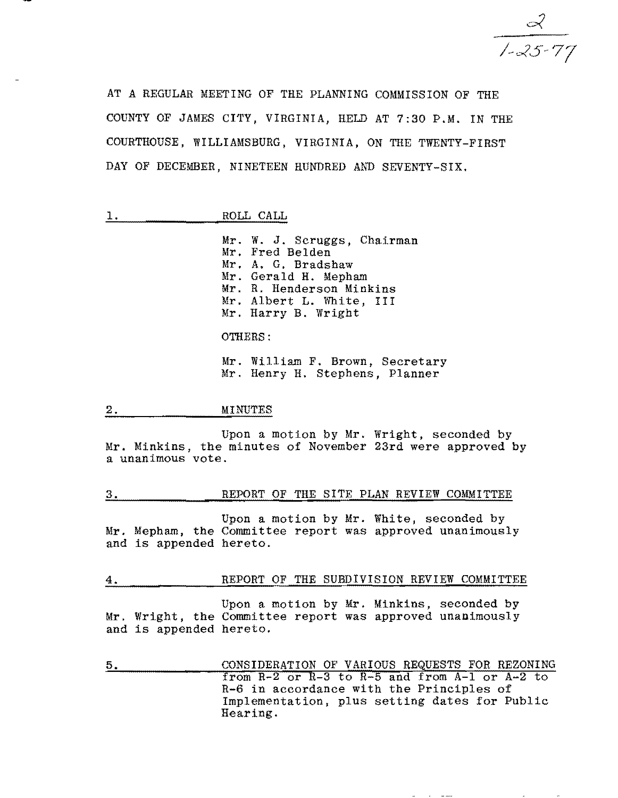$\frac{2}{1-25.77}$ 

AT A REGULAR MEETING OF THE PLANNING COMMISSION OF THE COUNTY OF JAMES CITY, VIRGINIA, HELD AT 7:30 P.M. IN THE COURTHOUSE, WILLIAMSBURG, VIRGINIA, ON THE TWENTY-FIRST DAY OF DECEMBER, NINETEEN HUNDRED AND SEVENTY-SIX.

|                 |                                                                     | ىلى<br>п.<br>--<br>--                            | а<br>فسأدف                                                         |
|-----------------|---------------------------------------------------------------------|--------------------------------------------------|--------------------------------------------------------------------|
| --------------- | --------------<br><br>-------<br><br><br>-----------<br>----------- | -------<br><b>BASE &amp; ALLES AND RESIDENTS</b> | -----------------------<br><b><i><u>ALCOHOL: 2019</u></i></b><br>. |

Mr. W. J. Scruggs, Chairman Mr. Fred Belden Mr. A. G. Bradshaw Mr. Gerald H. Mepham Mr. R. Henderson Minkins Mr. Albert L. White, III Mr. Harry B. Wright

OTHERS:

Mr. William F. Brown, Secretary Mr. Henry H. Stephens, Planner

#### 2. MINUTES

Upon a motion by Mr. Wright, seconded by Mr. Minkins, the minutes of November 23rd were approved by a unanimous vote.

# 3. REPORT OF THE SITE PLAN REVIEW COMMITTEE

Upon a motion by Mr. White, seconded by Mr. Mepham, the Committee report was approved unanimously and is appended hereto.

4. REPORT OF THE SUBDIVISION REVIEW COMMITTEE

Upon a motion by Mr. Minkins, seconded by Mr. Wright, the Committee report was approved unanimously and is appended hereto.

5. CONSIDERATION OF VARIOUS REQUESTS FOR REZONING from  $R-2$  or  $R-3$  to  $R-5$  and from  $A-1$  or  $A-2$  to R-6 in accordance with the Principles of Implementation, plus setting dates for Public Hearing.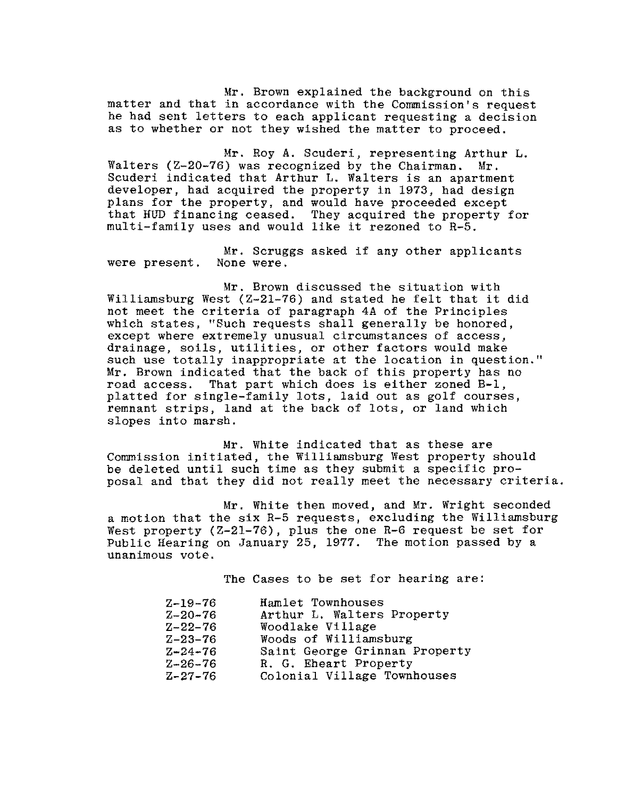Mr. Brown explained the background on this matter and that in accordance with the Commission's request he had sent letters to each applicant requesting a decision as to whether or not they wished the matter to proceed.

Mr. Roy A. Scuderi, representing Arthur L.<br>) was recognized by the Chairman. Mr. Walters ( $Z-20-76$ ) was recognized by the Chairman. Scuderi indicated that Arthur L. Walters is an apartment developer, had acquired the property in 1973, had design plans for the property, and would have proceeded except that HUD financing ceased. They acquired the property for multi-family uses and would like it rezoned to R-5.

Mr. Scruggs asked if any other applicants were present. None were.

Mr. Brown discussed the situation with Williamsburg West (Z-21-76) and stated he felt that it did not meet the criteria of paragraph 4A of the Principles which states, "Such requests shall generally be honored, except where extremely unusual circumstances of access, drainage, soils, utilities, or other factors would make such use totally inappropriate at the location in question." Mr. Brown indicated that the back of this property has no road access. That part which does is either zoned B-1, platted for single-family lots, laid out as golf courses, remnant strips, land at the back of lots, or land which slopes into marsh.

Mr. White indicated that as these are Commission initiated, the Williamsburg West property should be deleted until such time as they submit a specific proposal and that they did not really meet the necessary criteria.

Mr. White then moved, and Mr. Wright seconded a motion that the six R-5 requests, excluding the Williamsburg West property (Z-2l-76), plus the one R-6 request be set for Public Hearing on January 25, 1977. The motion passed by a unanimous vote.

The Cases to be set for hearing are:

| $Z - 19 - 76$ | Hamlet Townhouses             |
|---------------|-------------------------------|
| $Z - 20 - 76$ | Arthur L. Walters Property    |
| $Z - 22 - 76$ | Woodlake Village              |
| $Z - 23 - 76$ | Woods of Williamsburg         |
| $Z - 24 - 76$ | Saint George Grinnan Property |
| $Z - 26 - 76$ | R. G. Eheart Property         |
| $Z - 27 - 76$ | Colonial Village Townhouses   |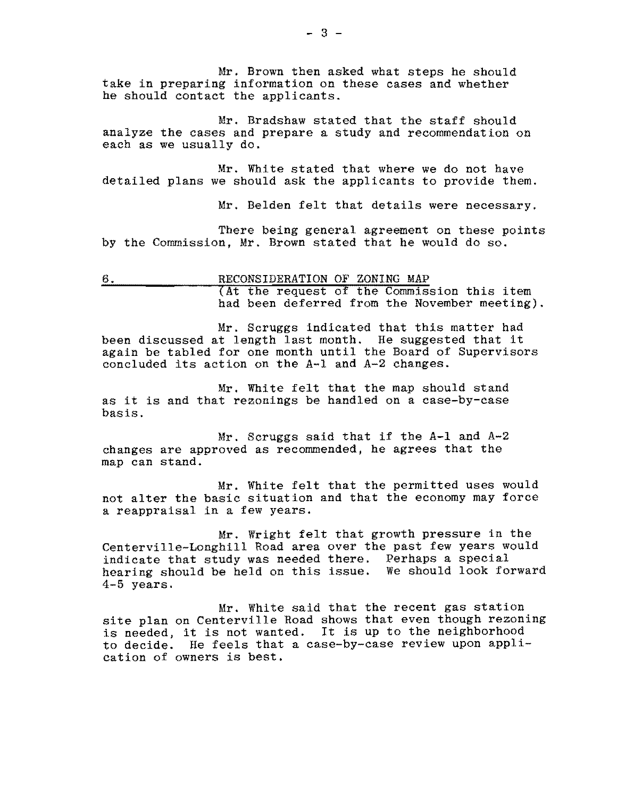Mr. Brown then asked what steps he should take in preparing information on these cases and whether he should contact the applicants.

Mr. Bradshaw stated that the staff should analyze the cases and prepare a study and recommendation on each as we usually do.

Mr. White stated that where we do not have detailed plans we should ask the applicants to provide them.

Mr. Belden felt that details were necessary.

There being general agreement on these points by the Commission, Mr. Brown stated that he would do so.

6. RECONSIDERATION OF ZONING MAP (At the request of the Commission this item had been deferred from the November meeting).

Mr. Scruggs indicated that this matter had been discussed at length last month. He suggested that it again be tabled for one month until the Board of Supervisors concluded its action on the A-I and A-2 changes.

Mr. White felt that the map should stand as it is and that rezonings be handled on a case-by-case basis.

Mr. Scruggs said that if the A-I and A-2 changes are approved as recommended, he agrees that the map can stand.

Mr. White felt that the permitted uses would not alter the basic situation and that the economy may force a reappraisal in a few years.

Mr. Wright felt that growth pressure in the Centerville-Longhill Road area over the past few years would indicate that study was needed there. Perhaps a special hearing should be held on this issue. We should look forward 4-5 years.

Mr. White said that the recent gas station site plan on Centerville Road shows that even though rezoning is needed, it is not wanted. It is up to the neighborhood to decide. He feels that a case-by-case review upon application of owners is best.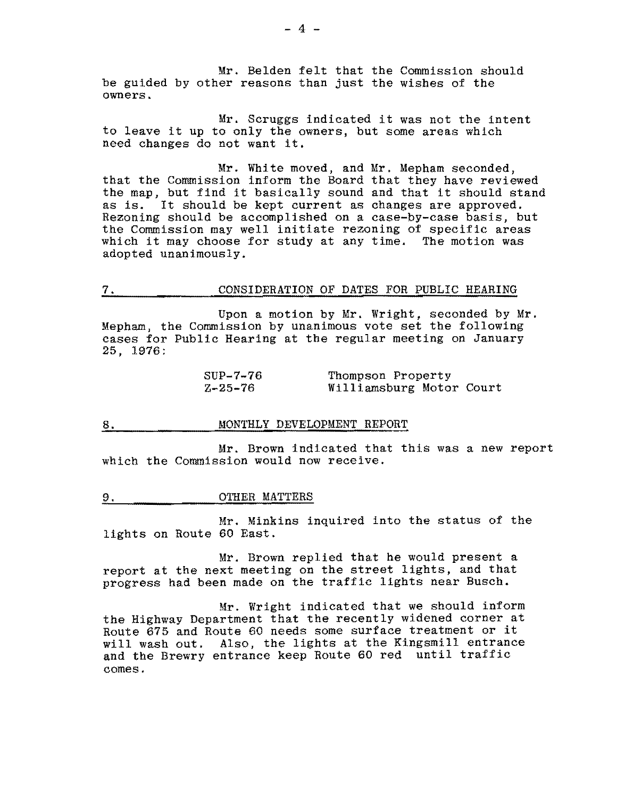Mr. Belden felt that the Commission should be guided by other reasons than just the wishes of the owners.

Mr. Scruggs indicated it was not the intent to leave it up to only the owners, but some areas which need changes do not want it.

Mr. White moved, and Mr. Mepham seconded, that the Commission inform the Board that they have reviewed the map, but find it basically sound and that it should stand as is. It should be kept current as changes are approved. Rezoning should be accomplished on a case-by-case basis, but the Commission may well initiate rezoning of specific areas which it may choose for study at any time. The motion was adopted unanimously.

#### 7. CONSIDERATION OF DATES FOR PUBLIC HEARING

Upon a motion by Mr. Wright, seconded by Mr. Mepham, the Commission by unanimous vote set the following cases for Public Hearing at the regular meeting on January 25, 1976:

| SUP-7-76      | Thompson Property        |  |
|---------------|--------------------------|--|
| $Z - 25 - 76$ | Williamsburg Motor Court |  |

# 8. MONTHLY DEVELOPMENT REPORT

Mr. Brown indicated that this was a new report which the Commission would now receive.

#### 9. OTHER MATTERS

Mr. Minkins inquired into the status of the lights on Route 60 East.

Mr. Brown replied that he would present a report at the next meeting on the street lights, and that progress had been made on the traffic lights near Busch.

Mr. Wright indicated that we should inform the Highway Department that the recently widened corner at Route 675 and Route 60 needs some surface treatment or it will wash out. Also, the lights at the Kingsmill entrance and the Brewry entrance keep Route 60 red until traffic comes.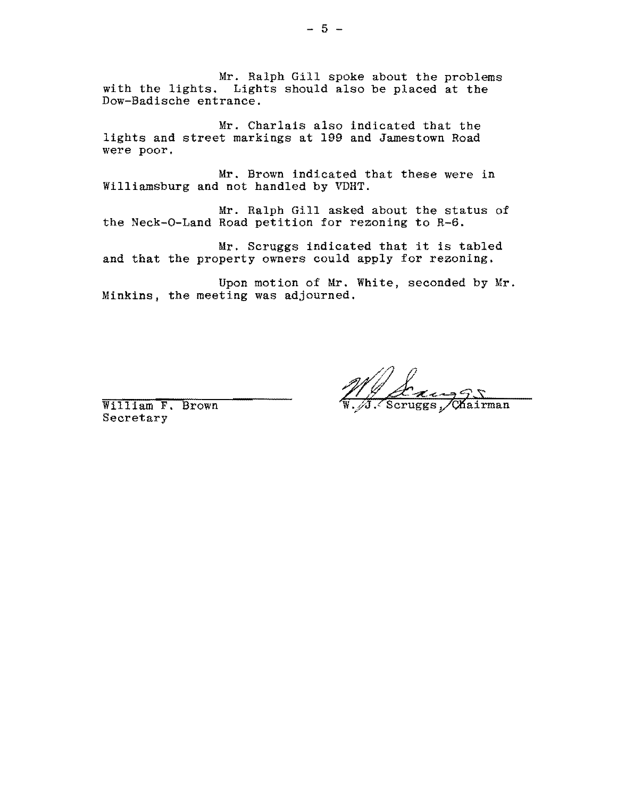Mr. Ralph Gill spoke about the problems with the lights. Lights should also be placed at the Dow-Badische entrance.

Mr. Charlais also indicated that the lights and street markings at 199 and Jamestown Road were poor.

Mr. Brown indicated that these were in Williamsburg and not handled by VDHT.

Mr. Ralph Gill asked about the status of the Neck-O-Land Road petition for rezoning to R-6.

Mr. Scruggs indicated that it is tabled and that the property owners could apply for rezoning.

Upon motion of Mr. White, seconded by Mr. Minkins, the meeting was adjourned.

William F. Brown Secretary

 $\frac{24355}{\text{s}}$ , Chairman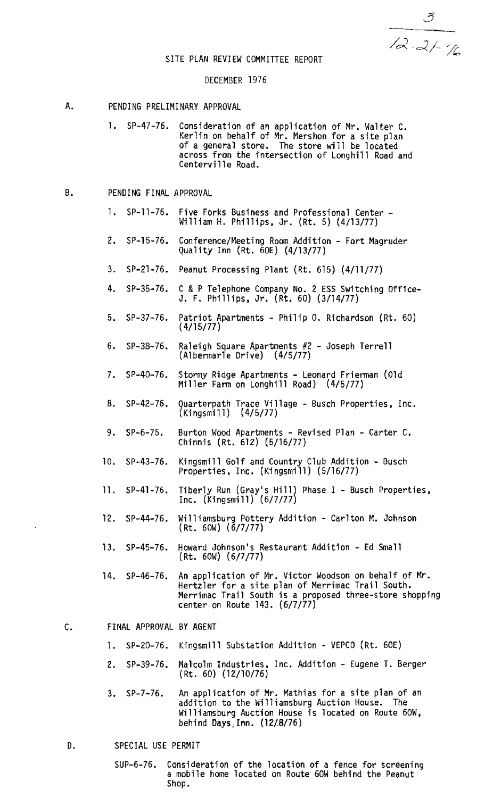$\frac{0}{12.21}$ 

#### SITE PLAN REVIEW COMMITTEE REPORT

#### DECEMBER 1976

#### A. PENDING PRELIMINARY APPROVAL

1. SP-47-76. Consideration of an application of Mr. Walter C. Kerlin on behalf of Mr. Mershon for a site plan<br>of a general store. The store will be located of a general store. The store will be located<br>across from the intersection of Longhill Road and Centerville Road.

# B. PENDING FINAL APPROVAL

- 1. SP-1l-76. Five Forks Business and Professional Center William H. Phillips, Jr. (Rt. 5) (4/13/77)
- 2. SP-15-76. Conference/Meeting Room Addition Fort Magruder Quality Inn (Rt. 60E) (4/13/77)
- 3. SP-2l-75. Peanut Processing Plant (Rt. 615) (4/11/77)
- 4. SP-35-76. C &P Telephone Company No. 2 ESS Switching Office-J. F. Phillips. Jr. (Rt. 50) (3/14/77)
- 5. SP-37-76. Patriot Apartments Philip O. Richardson (Rt. 60) ( 4/15/77)
- 5. SP-38-76. Raleigh Square Apartments #2 Joseph Terrell (A1bermar1e Drive) (4/5/77)
- 7. SP-40-76. Stormy Ridge Apartments Leonard Frierman (Old Miller Farm on Longhi11 Road) (4/5/77)
- 8. SP-42-76. Quarterpath Trace Village Busch Properties, Inc. (Ki ngsmill ) (4/5/77)
- 9. SP-6-75. Burton Wood Apartments Revised Plan Carter C. Chinnis (Rt. 612) (5/16/77)
- 10. SP-43-76. Kingsmill Golf and Country Club Addition Busch Properties. Inc. (Kingsmi11) (5/16/77)
- 11. SP-41-76. Tiberly Run (Gray's Hill) Phase I Busch Properties,<br>Inc. (Kingsmill) (6/7/77)
- 12. SP-44-76. Williamsburg Pottery Addition Carlton M. Johnson (Rt. 60W) (6/7/77)
- 13. SP-4S-76. Howard Johnson's Restaurant Addition Ed Small (Rt. 60W) (6/7/77)
- 14. SP-46-76. An application of Mr. Victor Woodson on behalf of Mr. Hertzler for a site plan of Merrimac Trail South. Merrimac Trail South is a proposed three-store shopping center on Route 143. (6/7/77)

# C. FINAL APPROVAL BY AGENT

- 1. SP-20-76. Kingsmi11 Substation Addition VEPCO (Rt. 60E)
- 2. SP-39-76. Malcolm Industries. Inc. Addition Eugene T. Berger (Rt. 60) (12/10/76)
- 3. SP-7-76. An application of Mr. Mathias for a site plan of an addition to the Williamsburg Auction House. The Williamsburg Auction House is located on Route 60W, behind Days,Inn. (12/8/76)

#### D. SPECIAL USE PERMIT

SUP-6-76. Consideration of the location of a fence for screening a mobile home located on Route 60W behind the Peanut Shop.